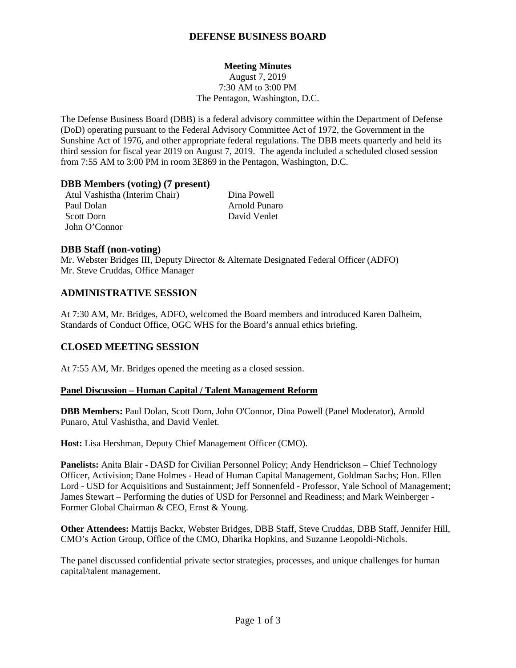## **DEFENSE BUSINESS BOARD**

### **Meeting Minutes**

August 7, 2019 7:30 AM to 3:00 PM The Pentagon, Washington, D.C.

The Defense Business Board (DBB) is a federal advisory committee within the Department of Defense (DoD) operating pursuant to the Federal Advisory Committee Act of 1972, the Government in the Sunshine Act of 1976, and other appropriate federal regulations. The DBB meets quarterly and held its third session for fiscal year 2019 on August 7, 2019. The agenda included a scheduled closed session from 7:55 AM to 3:00 PM in room 3E869 in the Pentagon, Washington, D.C.

### **DBB Members (voting) (7 present)**

Atul Vashistha (Interim Chair) Dina Powell Paul Dolan Arnold Punaro Scott Dorn David Venlet John O'Connor

### **DBB Staff (non-voting)**

Mr. Webster Bridges III, Deputy Director & Alternate Designated Federal Officer (ADFO) Mr. Steve Cruddas, Office Manager

### **ADMINISTRATIVE SESSION**

At 7:30 AM, Mr. Bridges, ADFO, welcomed the Board members and introduced Karen Dalheim, Standards of Conduct Office, OGC WHS for the Board's annual ethics briefing.

### **CLOSED MEETING SESSION**

At 7:55 AM, Mr. Bridges opened the meeting as a closed session.

#### **Panel Discussion – Human Capital / Talent Management Reform**

**DBB Members:** Paul Dolan, Scott Dorn, John O'Connor, Dina Powell (Panel Moderator), Arnold Punaro, Atul Vashistha, and David Venlet.

**Host:** Lisa Hershman, Deputy Chief Management Officer (CMO).

**Panelists:** Anita Blair - DASD for Civilian Personnel Policy; Andy Hendrickson – Chief Technology Officer, Activision; Dane Holmes - Head of Human Capital Management, Goldman Sachs; Hon. Ellen Lord - USD for Acquisitions and Sustainment; Jeff Sonnenfeld - Professor, Yale School of Management; James Stewart – Performing the duties of USD for Personnel and Readiness; and Mark Weinberger - Former Global Chairman & CEO, Ernst & Young.

**Other Attendees:** Mattijs Backx, Webster Bridges, DBB Staff, Steve Cruddas, DBB Staff, Jennifer Hill, CMO's Action Group, Office of the CMO, Dharika Hopkins, and Suzanne Leopoldi-Nichols.

The panel discussed confidential private sector strategies, processes, and unique challenges for human capital/talent management.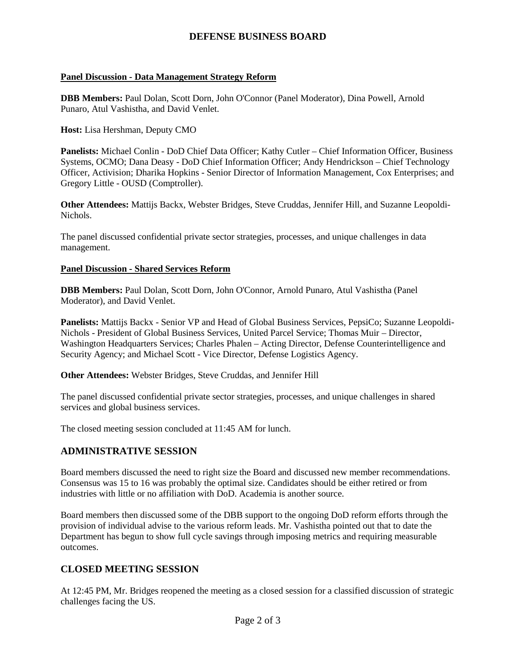## **DEFENSE BUSINESS BOARD**

### **Panel Discussion - Data Management Strategy Reform**

**DBB Members:** Paul Dolan, Scott Dorn, John O'Connor (Panel Moderator), Dina Powell, Arnold Punaro, Atul Vashistha, and David Venlet.

**Host:** Lisa Hershman, Deputy CMO

**Panelists:** Michael Conlin - DoD Chief Data Officer; Kathy Cutler – Chief Information Officer, Business Systems, OCMO; Dana Deasy - DoD Chief Information Officer; Andy Hendrickson – Chief Technology Officer, Activision; Dharika Hopkins - Senior Director of Information Management, Cox Enterprises; and Gregory Little - OUSD (Comptroller).

**Other Attendees:** Mattijs Backx, Webster Bridges, Steve Cruddas, Jennifer Hill, and Suzanne Leopoldi-Nichols.

The panel discussed confidential private sector strategies, processes, and unique challenges in data management.

### **Panel Discussion - Shared Services Reform**

**DBB Members:** Paul Dolan, Scott Dorn, John O'Connor, Arnold Punaro, Atul Vashistha (Panel Moderator), and David Venlet.

**Panelists:** Mattijs Backx - Senior VP and Head of Global Business Services, PepsiCo; Suzanne Leopoldi-Nichols - President of Global Business Services, United Parcel Service; Thomas Muir – Director, Washington Headquarters Services; Charles Phalen – Acting Director, Defense Counterintelligence and Security Agency; and Michael Scott - Vice Director, Defense Logistics Agency.

**Other Attendees:** Webster Bridges, Steve Cruddas, and Jennifer Hill

The panel discussed confidential private sector strategies, processes, and unique challenges in shared services and global business services.

The closed meeting session concluded at 11:45 AM for lunch.

### **ADMINISTRATIVE SESSION**

Board members discussed the need to right size the Board and discussed new member recommendations. Consensus was 15 to 16 was probably the optimal size. Candidates should be either retired or from industries with little or no affiliation with DoD. Academia is another source.

Board members then discussed some of the DBB support to the ongoing DoD reform efforts through the provision of individual advise to the various reform leads. Mr. Vashistha pointed out that to date the Department has begun to show full cycle savings through imposing metrics and requiring measurable outcomes.

# **CLOSED MEETING SESSION**

At 12:45 PM, Mr. Bridges reopened the meeting as a closed session for a classified discussion of strategic challenges facing the US.